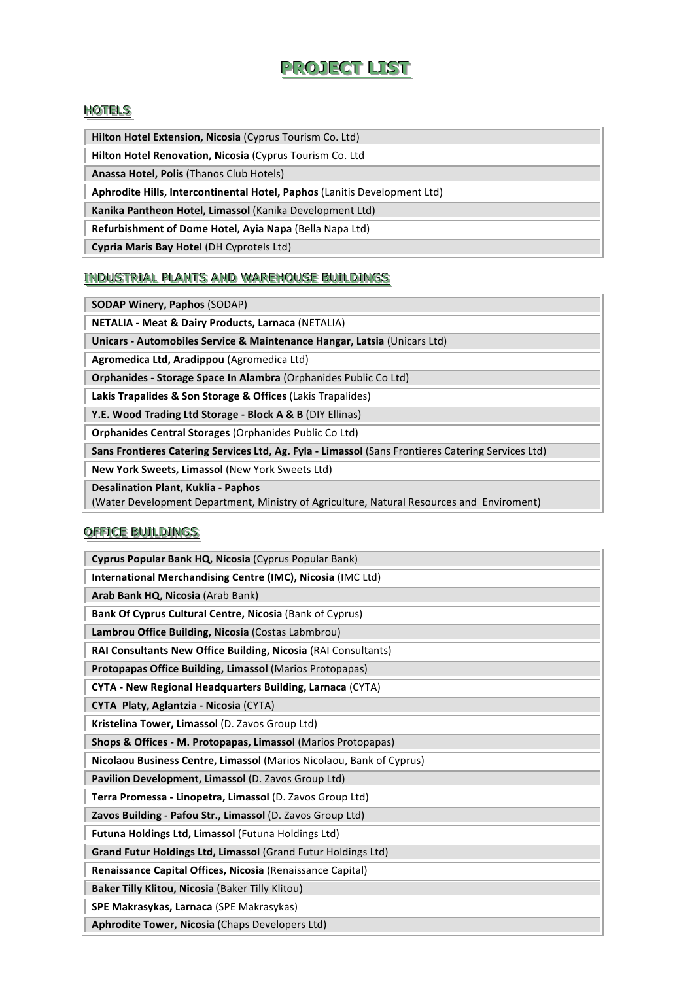# **PPRROOJJEECCTT LLIISSTT**

## HOTELS

**Hilton Hotel Extension, Nicosia (Cyprus Tourism Co. Ltd)** 

**Hilton Hotel Renovation, Nicosia** (Cyprus Tourism Co. Ltd

**Anassa Hotel, Polis (Thanos Club Hotels)** 

**Aphrodite Hills, Intercontinental Hotel, Paphos (Lanitis Development Ltd)** 

**Kanika Pantheon Hotel, Limassol** (Kanika Development Ltd)

**Refurbishment of Dome Hotel, Ayia Napa** (Bella Napa Ltd)

**Cypria Maris Bay Hotel (DH Cyprotels Ltd)** 

#### INDUSTRIAL PLANTS AND WAREHOUSE BUILDINGS

**SODAP Winery, Paphos (SODAP)** 

**NETALIA - Meat & Dairy Products, Larnaca** (NETALIA)

**Unicars - Automobiles Service & Maintenance Hangar, Latsia (Unicars Ltd)** 

Agromedica Ltd, Aradippou (Agromedica Ltd)

**Orphanides - Storage Space In Alambra (Orphanides Public Co Ltd)** 

Lakis Trapalides & Son Storage & Offices (Lakis Trapalides)

Y.E. Wood Trading Ltd Storage - Block A & B (DIY Ellinas)

**Orphanides Central Storages (Orphanides Public Co Ltd)** 

Sans Frontieres Catering Services Ltd, Ag. Fyla - Limassol (Sans Frontieres Catering Services Ltd)

**New York Sweets, Limassol** (New York Sweets Ltd)

**Desalination Plant, Kuklia - Paphos**

(Water Development Department, Ministry of Agriculture, Natural Resources and Enviroment)

# OFFICE BUILDINGS

| Cyprus Popular Bank HQ, Nicosia (Cyprus Popular Bank)                 |
|-----------------------------------------------------------------------|
| International Merchandising Centre (IMC), Nicosia (IMC Ltd)           |
| Arab Bank HQ, Nicosia (Arab Bank)                                     |
| Bank Of Cyprus Cultural Centre, Nicosia (Bank of Cyprus)              |
| Lambrou Office Building, Nicosia (Costas Labmbrou)                    |
| <b>RAI Consultants New Office Building, Nicosia (RAI Consultants)</b> |
| Protopapas Office Building, Limassol (Marios Protopapas)              |
| CYTA - New Regional Headquarters Building, Larnaca (CYTA)             |
| CYTA Platy, Aglantzia - Nicosia (CYTA)                                |
| Kristelina Tower, Limassol (D. Zavos Group Ltd)                       |
| Shops & Offices - M. Protopapas, Limassol (Marios Protopapas)         |
| Nicolaou Business Centre, Limassol (Marios Nicolaou, Bank of Cyprus)  |
| Pavilion Development, Limassol (D. Zavos Group Ltd)                   |
| Terra Promessa - Linopetra, Limassol (D. Zavos Group Ltd)             |
| Zavos Building - Pafou Str., Limassol (D. Zavos Group Ltd)            |
| Futuna Holdings Ltd, Limassol (Futuna Holdings Ltd)                   |
| Grand Futur Holdings Ltd, Limassol (Grand Futur Holdings Ltd)         |
| Renaissance Capital Offices, Nicosia (Renaissance Capital)            |
| Baker Tilly Klitou, Nicosia (Baker Tilly Klitou)                      |
| SPE Makrasykas, Larnaca (SPE Makrasykas)                              |
| Aphrodite Tower, Nicosia (Chaps Developers Ltd)                       |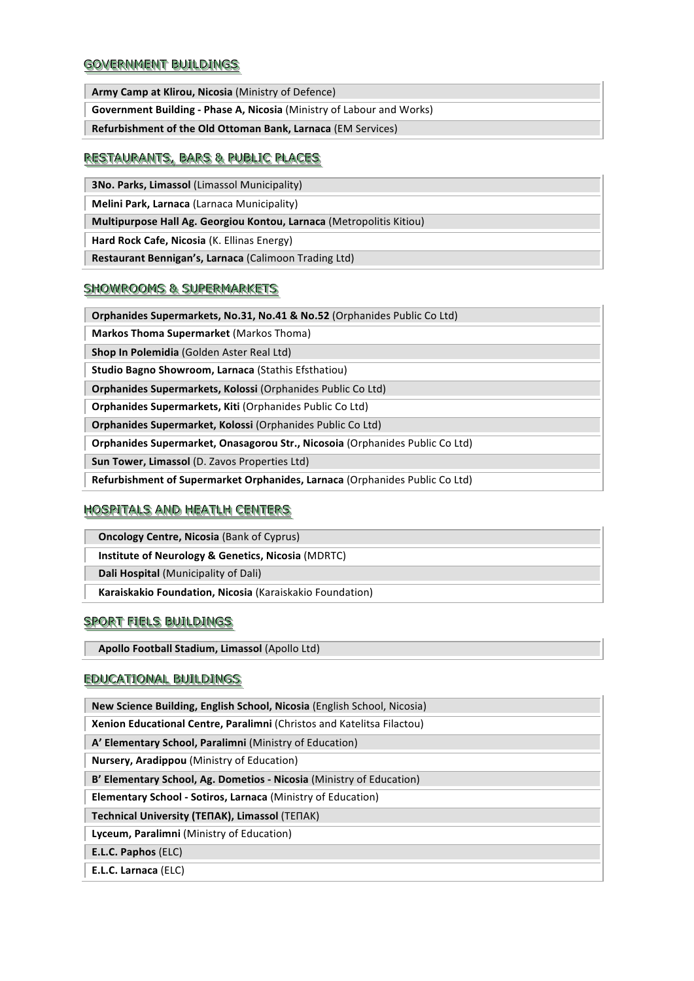#### GOVERNMENT BUILDINGS

**Army Camp at Klirou, Nicosia** (Ministry of Defence)

**Government Building - Phase A, Nicosia** (Ministry of Labour and Works)

**Refurbishment of the Old Ottoman Bank, Larnaca (EM Services)** 

## RESTAURANTS,, BARS & PUBLIC PLACES

**3No. Parks, Limassol** (Limassol Municipality)

**Melini Park, Larnaca (Larnaca Municipality)** 

**Multipurpose Hall Ag. Georgiou Kontou, Larnaca** (Metropolitis Kitiou)

**Hard Rock Cafe, Nicosia** (K. Ellinas Energy)

**Restaurant Bennigan's, Larnaca** (Calimoon Trading Ltd)

#### SHOWROOMS & SUPERMARKETS

**Orphanides Supermarkets, No.31, No.41 & No.52 (Orphanides Public Co Ltd)** 

**Markos Thoma Supermarket** (Markos Thoma)

**Shop In Polemidia** (Golden Aster Real Ltd)

**Studio Bagno Showroom, Larnaca (Stathis Efsthatiou)** 

**Orphanides Supermarkets, Kolossi (Orphanides Public Co Ltd)** 

**Orphanides Supermarkets, Kiti (Orphanides Public Co Ltd)** 

**Orphanides Supermarket, Kolossi (Orphanides Public Co Ltd)** 

**Orphanides Supermarket, Onasagorou Str., Nicosoia** (Orphanides Public Co Ltd)

**Sun Tower, Limassol** (D. Zavos Properties Ltd)

**Refurbishment of Supermarket Orphanides, Larnaca (Orphanides Public Co Ltd)** 

# HOSPITALS AND HEATLH CENTERS

| <b>Oncology Centre, Nicosia (Bank of Cyprus)</b>         |
|----------------------------------------------------------|
| Institute of Neurology & Genetics, Nicosia (MDRTC)       |
| <b>Dali Hospital (Municipality of Dali)</b>              |
| Karaiskakio Foundation, Nicosia (Karaiskakio Foundation) |

# SPORT FIELS BUILDINGS

**Apollo Football Stadium, Limassol (Apollo Ltd)** 

#### EDUCATIONAL BUILDINGS

| <b>New Science Building, English School, Nicosia</b> (English School, Nicosia) |
|--------------------------------------------------------------------------------|
| <b>Xenion Educational Centre, Paralimni (Christos and Katelitsa Filactou)</b>  |
| A' Elementary School, Paralimni (Ministry of Education)                        |
| <b>Nursery, Aradippou</b> (Ministry of Education)                              |
| B' Elementary School, Ag. Dometios - Nicosia (Ministry of Education)           |
| <b>Elementary School - Sotiros, Larnaca (Ministry of Education)</b>            |
| <b>Technical University (TENAK), Limassol (TENAK)</b>                          |
| Lyceum, Paralimni (Ministry of Education)                                      |
| E.L.C. Paphos (ELC)                                                            |
| E.L.C. Larnaca (ELC)                                                           |
|                                                                                |